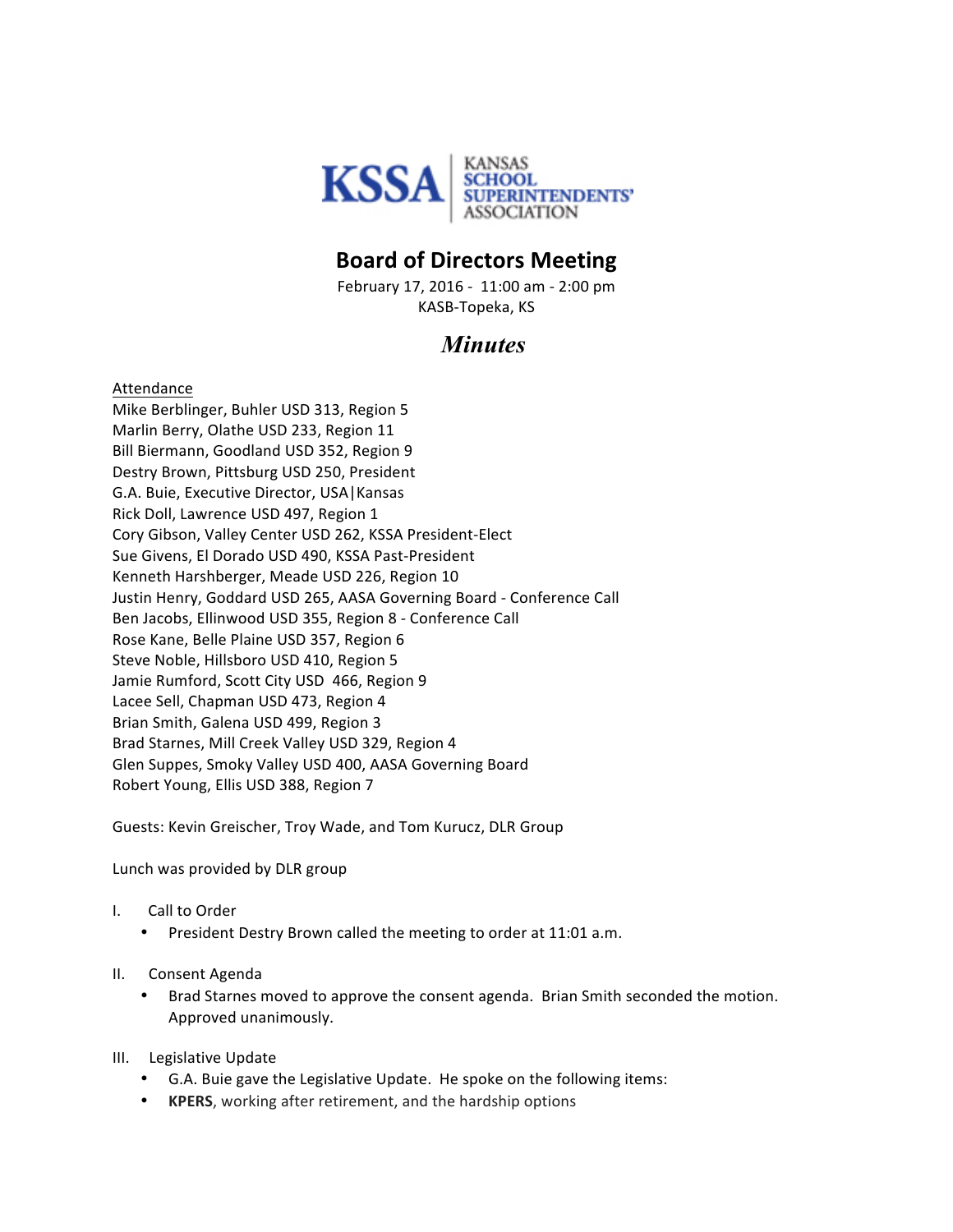

## **Board of Directors Meeting**

February 17, 2016 - 11:00 am - 2:00 pm KASB-Topeka, KS

## *Minutes*

Attendance Mike Berblinger, Buhler USD 313, Region 5 Marlin Berry, Olathe USD 233, Region 11 Bill Biermann, Goodland USD 352, Region 9 Destry Brown, Pittsburg USD 250, President G.A. Buie, Executive Director, USA|Kansas Rick Doll, Lawrence USD 497, Region 1 Cory Gibson, Valley Center USD 262, KSSA President-Elect Sue Givens, El Dorado USD 490, KSSA Past-President Kenneth Harshberger, Meade USD 226, Region 10 Justin Henry, Goddard USD 265, AASA Governing Board - Conference Call Ben Jacobs, Ellinwood USD 355, Region 8 - Conference Call Rose Kane, Belle Plaine USD 357, Region 6 Steve Noble, Hillsboro USD 410, Region 5 Jamie Rumford, Scott City USD 466, Region 9 Lacee Sell, Chapman USD 473, Region 4 Brian Smith, Galena USD 499, Region 3 Brad Starnes, Mill Creek Valley USD 329, Region 4 Glen Suppes, Smoky Valley USD 400, AASA Governing Board Robert Young, Ellis USD 388, Region 7

Guests: Kevin Greischer, Troy Wade, and Tom Kurucz, DLR Group

Lunch was provided by DLR group

## I. Call to Order

- President Destry Brown called the meeting to order at 11:01 a.m.
- II. Consent Agenda
	- Brad Starnes moved to approve the consent agenda. Brian Smith seconded the motion. Approved unanimously.
- III. Legislative Update
	- G.A. Buie gave the Legislative Update. He spoke on the following items:
	- **KPERS**, working after retirement, and the hardship options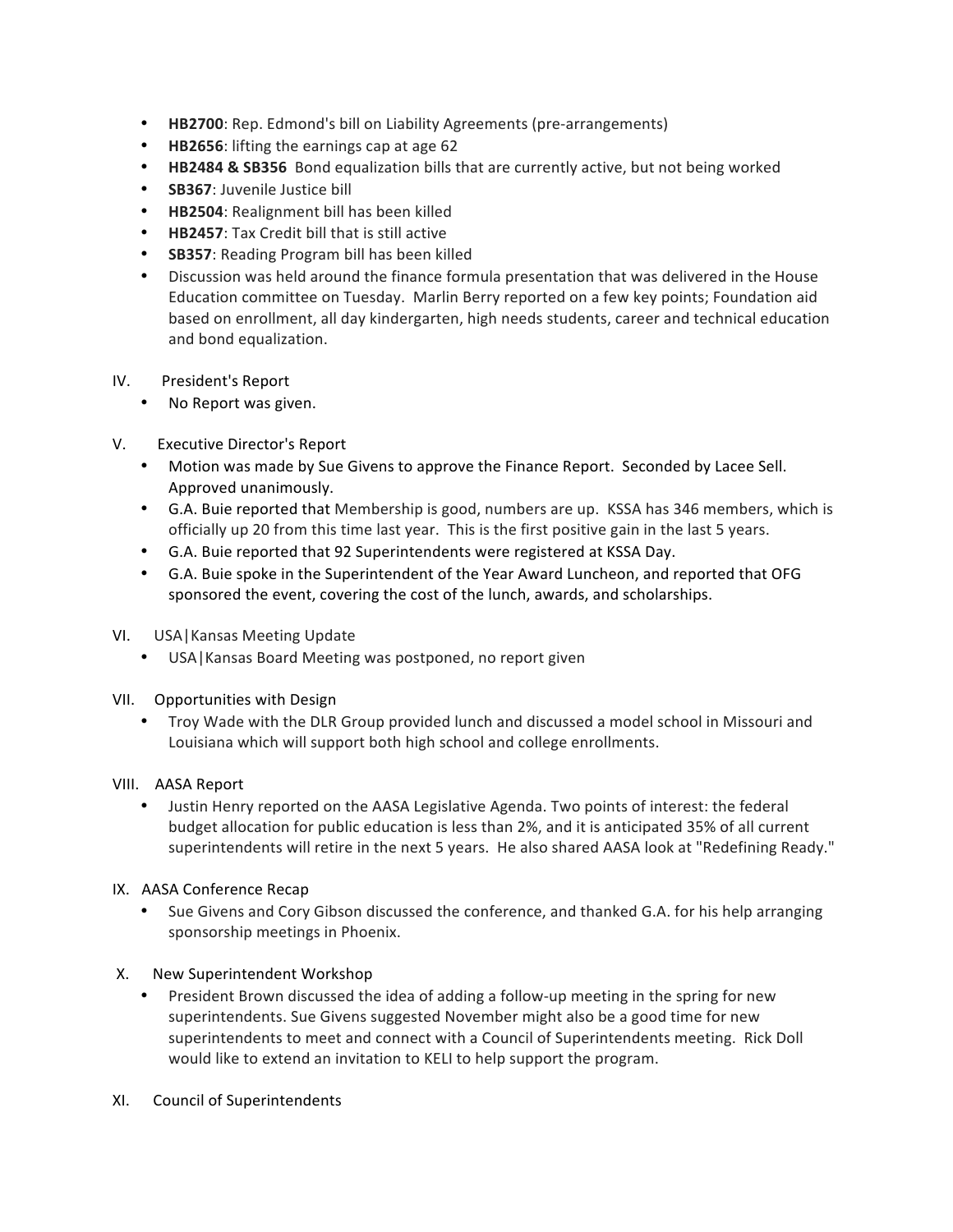- HB2700: Rep. Edmond's bill on Liability Agreements (pre-arrangements)
- HB2656: lifting the earnings cap at age 62
- **HB2484 & SB356** Bond equalization bills that are currently active, but not being worked
- **SB367:** Juvenile Justice bill
- **HB2504**: Realignment bill has been killed
- HB2457: Tax Credit bill that is still active
- **SB357:** Reading Program bill has been killed
- Discussion was held around the finance formula presentation that was delivered in the House Education committee on Tuesday. Marlin Berry reported on a few key points; Foundation aid based on enrollment, all day kindergarten, high needs students, career and technical education and bond equalization.
- IV. President's Report
	- No Report was given.
- V. Executive Director's Report
	- Motion was made by Sue Givens to approve the Finance Report. Seconded by Lacee Sell. Approved unanimously.
	- G.A. Buie reported that Membership is good, numbers are up. KSSA has 346 members, which is officially up 20 from this time last year. This is the first positive gain in the last 5 years.
	- G.A. Buie reported that 92 Superintendents were registered at KSSA Day.
	- G.A. Buie spoke in the Superintendent of the Year Award Luncheon, and reported that OFG sponsored the event, covering the cost of the lunch, awards, and scholarships.
- VI. USA | Kansas Meeting Update
	- USA | Kansas Board Meeting was postponed, no report given
- VII. Opportunities with Design
	- Troy Wade with the DLR Group provided lunch and discussed a model school in Missouri and Louisiana which will support both high school and college enrollments.

## VIII. AASA Report

- Justin Henry reported on the AASA Legislative Agenda. Two points of interest: the federal budget allocation for public education is less than 2%, and it is anticipated 35% of all current superintendents will retire in the next 5 years. He also shared AASA look at "Redefining Ready."
- IX. AASA Conference Recap
	- Sue Givens and Cory Gibson discussed the conference, and thanked G.A. for his help arranging sponsorship meetings in Phoenix.
- X. New Superintendent Workshop
	- President Brown discussed the idea of adding a follow-up meeting in the spring for new superintendents. Sue Givens suggested November might also be a good time for new superintendents to meet and connect with a Council of Superintendents meeting. Rick Doll would like to extend an invitation to KELI to help support the program.
- XI. Council of Superintendents